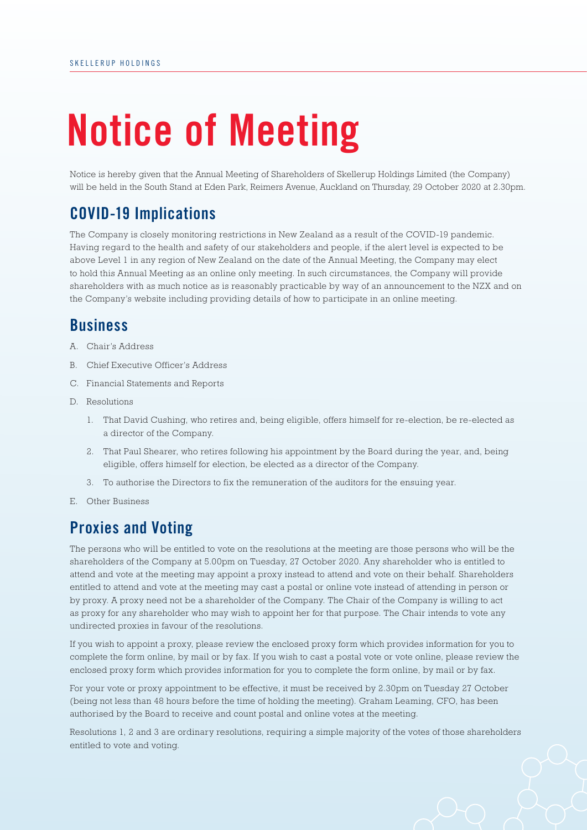# **Notice of Meeting**

Notice is hereby given that the Annual Meeting of Shareholders of Skellerup Holdings Limited (the Company) will be held in the South Stand at Eden Park, Reimers Avenue, Auckland on Thursday, 29 October 2020 at 2.30pm.

## **COVID-19 Implications**

The Company is closely monitoring restrictions in New Zealand as a result of the COVID-19 pandemic. Having regard to the health and safety of our stakeholders and people, if the alert level is expected to be above Level 1 in any region of New Zealand on the date of the Annual Meeting, the Company may elect to hold this Annual Meeting as an online only meeting. In such circumstances, the Company will provide shareholders with as much notice as is reasonably practicable by way of an announcement to the NZX and on the Company's website including providing details of how to participate in an online meeting.

### **Business**

- A. Chair's Address
- B. Chief Executive Officer's Address
- C. Financial Statements and Reports
- D. Resolutions
	- 1. That David Cushing, who retires and, being eligible, offers himself for re-election, be re-elected as a director of the Company.
	- 2. That Paul Shearer, who retires following his appointment by the Board during the year, and, being eligible, offers himself for election, be elected as a director of the Company.
	- 3. To authorise the Directors to fix the remuneration of the auditors for the ensuing year.
- E. Other Business

## **Proxies and Voting**

The persons who will be entitled to vote on the resolutions at the meeting are those persons who will be the shareholders of the Company at 5.00pm on Tuesday, 27 October 2020. Any shareholder who is entitled to attend and vote at the meeting may appoint a proxy instead to attend and vote on their behalf. Shareholders entitled to attend and vote at the meeting may cast a postal or online vote instead of attending in person or by proxy. A proxy need not be a shareholder of the Company. The Chair of the Company is willing to act as proxy for any shareholder who may wish to appoint her for that purpose. The Chair intends to vote any undirected proxies in favour of the resolutions.

If you wish to appoint a proxy, please review the enclosed proxy form which provides information for you to complete the form online, by mail or by fax. If you wish to cast a postal vote or vote online, please review the enclosed proxy form which provides information for you to complete the form online, by mail or by fax.

For your vote or proxy appointment to be effective, it must be received by 2.30pm on Tuesday 27 October (being not less than 48 hours before the time of holding the meeting). Graham Leaming, CFO, has been authorised by the Board to receive and count postal and online votes at the meeting.

Resolutions 1, 2 and 3 are ordinary resolutions, requiring a simple majority of the votes of those shareholders entitled to vote and voting.